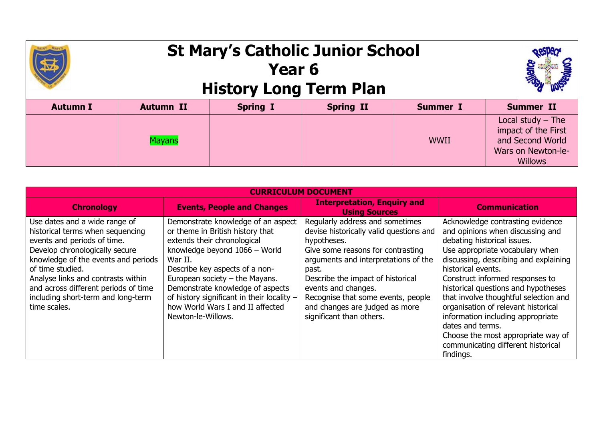|                 | <b>St Mary's Catholic Junior School</b><br><b>History Long Term Plan</b> |                 |                  |             |                                                                                                        |
|-----------------|--------------------------------------------------------------------------|-----------------|------------------|-------------|--------------------------------------------------------------------------------------------------------|
| <b>Autumn I</b> | <b>Autumn II</b>                                                         | <b>Spring I</b> | <b>Spring II</b> | Summer I    | <b>Summer II</b>                                                                                       |
|                 | <b>Mayans</b>                                                            |                 |                  | <b>WWII</b> | Local study $-$ The<br>impact of the First<br>and Second World<br>Wars on Newton-le-<br><b>Willows</b> |

| <b>CURRICULUM DOCUMENT</b>                                                                                                                                                                                                                                                                                                        |                                                                                                                                                                                                                                                                                                                                                                     |                                                                                                                                                                                                                                                                                                                                                 |                                                                                                                                                                                                                                                                                                                                                                                                                                                                                                                   |
|-----------------------------------------------------------------------------------------------------------------------------------------------------------------------------------------------------------------------------------------------------------------------------------------------------------------------------------|---------------------------------------------------------------------------------------------------------------------------------------------------------------------------------------------------------------------------------------------------------------------------------------------------------------------------------------------------------------------|-------------------------------------------------------------------------------------------------------------------------------------------------------------------------------------------------------------------------------------------------------------------------------------------------------------------------------------------------|-------------------------------------------------------------------------------------------------------------------------------------------------------------------------------------------------------------------------------------------------------------------------------------------------------------------------------------------------------------------------------------------------------------------------------------------------------------------------------------------------------------------|
| <b>Chronology</b>                                                                                                                                                                                                                                                                                                                 | <b>Events, People and Changes</b>                                                                                                                                                                                                                                                                                                                                   | <b>Interpretation, Enquiry and</b><br><b>Using Sources</b>                                                                                                                                                                                                                                                                                      | <b>Communication</b>                                                                                                                                                                                                                                                                                                                                                                                                                                                                                              |
| Use dates and a wide range of<br>historical terms when sequencing<br>events and periods of time.<br>Develop chronologically secure<br>knowledge of the events and periods<br>of time studied.<br>Analyse links and contrasts within<br>and across different periods of time<br>including short-term and long-term<br>time scales. | Demonstrate knowledge of an aspect<br>or theme in British history that<br>extends their chronological<br>knowledge beyond 1066 - World<br>War II.<br>Describe key aspects of a non-<br>European society $-$ the Mayans.<br>Demonstrate knowledge of aspects<br>of history significant in their locality -<br>how World Wars I and II affected<br>Newton-le-Willows. | Regularly address and sometimes<br>devise historically valid questions and<br>hypotheses.<br>Give some reasons for contrasting<br>arguments and interpretations of the<br>past.<br>Describe the impact of historical<br>events and changes.<br>Recognise that some events, people<br>and changes are judged as more<br>significant than others. | Acknowledge contrasting evidence<br>and opinions when discussing and<br>debating historical issues.<br>Use appropriate vocabulary when<br>discussing, describing and explaining<br>historical events.<br>Construct informed responses to<br>historical questions and hypotheses<br>that involve thoughtful selection and<br>organisation of relevant historical<br>information including appropriate<br>dates and terms.<br>Choose the most appropriate way of<br>communicating different historical<br>findings. |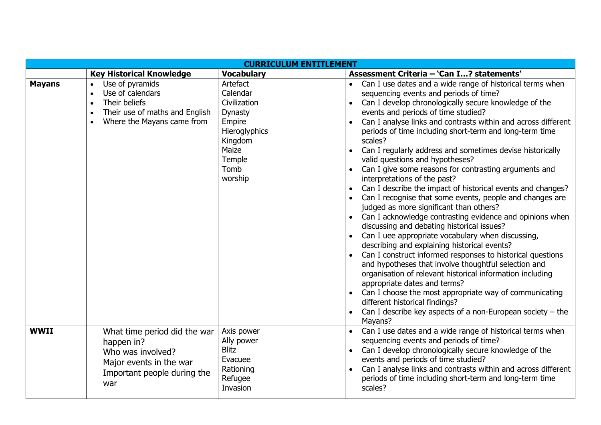| <b>CURRICULUM ENTITLEMENT</b> |                                                                                                                                  |                                                                                                                             |                                                                                                                                                                                                                                                                                                                                                                                                                                                                                                                                                                                                                                                                                                                                                                                                                                                                                                                                                                                                                                                                                                                                                                                                                                                                                                                                 |
|-------------------------------|----------------------------------------------------------------------------------------------------------------------------------|-----------------------------------------------------------------------------------------------------------------------------|---------------------------------------------------------------------------------------------------------------------------------------------------------------------------------------------------------------------------------------------------------------------------------------------------------------------------------------------------------------------------------------------------------------------------------------------------------------------------------------------------------------------------------------------------------------------------------------------------------------------------------------------------------------------------------------------------------------------------------------------------------------------------------------------------------------------------------------------------------------------------------------------------------------------------------------------------------------------------------------------------------------------------------------------------------------------------------------------------------------------------------------------------------------------------------------------------------------------------------------------------------------------------------------------------------------------------------|
|                               | <b>Key Historical Knowledge</b>                                                                                                  | <b>Vocabulary</b>                                                                                                           | Assessment Criteria - 'Can I? statements'                                                                                                                                                                                                                                                                                                                                                                                                                                                                                                                                                                                                                                                                                                                                                                                                                                                                                                                                                                                                                                                                                                                                                                                                                                                                                       |
| <b>Mayans</b>                 | Use of pyramids<br>Use of calendars<br>Their beliefs<br>Their use of maths and English<br>Where the Mayans came from             | Artefact<br>Calendar<br>Civilization<br>Dynasty<br>Empire<br>Hieroglyphics<br>Kingdom<br>Maize<br>Temple<br>Tomb<br>worship | Can I use dates and a wide range of historical terms when<br>sequencing events and periods of time?<br>Can I develop chronologically secure knowledge of the<br>events and periods of time studied?<br>Can I analyse links and contrasts within and across different<br>periods of time including short-term and long-term time<br>scales?<br>Can I regularly address and sometimes devise historically<br>valid questions and hypotheses?<br>Can I give some reasons for contrasting arguments and<br>interpretations of the past?<br>Can I describe the impact of historical events and changes?<br>Can I recognise that some events, people and changes are<br>judged as more significant than others?<br>Can I acknowledge contrasting evidence and opinions when<br>$\bullet$<br>discussing and debating historical issues?<br>Can I uee appropriate vocabulary when discussing,<br>describing and explaining historical events?<br>Can I construct informed responses to historical questions<br>and hypotheses that involve thoughtful selection and<br>organisation of relevant historical information including<br>appropriate dates and terms?<br>Can I choose the most appropriate way of communicating<br>different historical findings?<br>Can I describe key aspects of a non-European society $-$ the<br>Mayans? |
| <b>WWII</b>                   | What time period did the war<br>happen in?<br>Who was involved?<br>Major events in the war<br>Important people during the<br>war | Axis power<br>Ally power<br><b>Blitz</b><br>Evacuee<br>Rationing<br>Refugee<br>Invasion                                     | Can I use dates and a wide range of historical terms when<br>sequencing events and periods of time?<br>Can I develop chronologically secure knowledge of the<br>events and periods of time studied?<br>Can I analyse links and contrasts within and across different<br>periods of time including short-term and long-term time<br>scales?                                                                                                                                                                                                                                                                                                                                                                                                                                                                                                                                                                                                                                                                                                                                                                                                                                                                                                                                                                                      |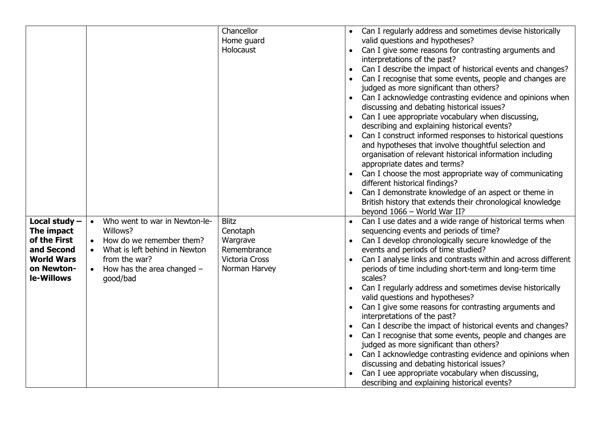|                   |                                            | Chancellor     |           | Can I regularly address and sometimes devise historically     |
|-------------------|--------------------------------------------|----------------|-----------|---------------------------------------------------------------|
|                   |                                            | Home guard     |           | valid questions and hypotheses?                               |
|                   |                                            | Holocaust      | $\bullet$ | Can I give some reasons for contrasting arguments and         |
|                   |                                            |                |           | interpretations of the past?                                  |
|                   |                                            |                | $\bullet$ | Can I describe the impact of historical events and changes?   |
|                   |                                            |                |           | Can I recognise that some events, people and changes are      |
|                   |                                            |                |           | judged as more significant than others?                       |
|                   |                                            |                |           | Can I acknowledge contrasting evidence and opinions when      |
|                   |                                            |                |           | discussing and debating historical issues?                    |
|                   |                                            |                |           | Can I uee appropriate vocabulary when discussing,             |
|                   |                                            |                |           | describing and explaining historical events?                  |
|                   |                                            |                |           | Can I construct informed responses to historical questions    |
|                   |                                            |                |           | and hypotheses that involve thoughtful selection and          |
|                   |                                            |                |           | organisation of relevant historical information including     |
|                   |                                            |                |           | appropriate dates and terms?                                  |
|                   |                                            |                |           | Can I choose the most appropriate way of communicating        |
|                   |                                            |                |           | different historical findings?                                |
|                   |                                            |                |           | Can I demonstrate knowledge of an aspect or theme in          |
|                   |                                            |                |           | British history that extends their chronological knowledge    |
|                   |                                            |                |           | beyond 1066 - World War II?                                   |
| Local study $-$   | Who went to war in Newton-le-<br>$\bullet$ | <b>Blitz</b>   |           | Can I use dates and a wide range of historical terms when     |
| The impact        | Willows?                                   | Cenotaph       |           | sequencing events and periods of time?                        |
| of the First      | How do we remember them?                   | Wargrave       |           | Can I develop chronologically secure knowledge of the         |
| and Second        | What is left behind in Newton<br>$\bullet$ | Remembrance    |           | events and periods of time studied?                           |
| <b>World Wars</b> | from the war?                              | Victoria Cross |           | Can I analyse links and contrasts within and across different |
| on Newton-        | How has the area changed $-$               | Norman Harvey  |           | periods of time including short-term and long-term time       |
| le-Willows        | good/bad                                   |                |           | scales?                                                       |
|                   |                                            |                |           | Can I regularly address and sometimes devise historically     |
|                   |                                            |                |           | valid questions and hypotheses?                               |
|                   |                                            |                | $\bullet$ | Can I give some reasons for contrasting arguments and         |
|                   |                                            |                |           | interpretations of the past?                                  |
|                   |                                            |                | $\bullet$ | Can I describe the impact of historical events and changes?   |
|                   |                                            |                |           | Can I recognise that some events, people and changes are      |
|                   |                                            |                |           | judged as more significant than others?                       |
|                   |                                            |                |           | Can I acknowledge contrasting evidence and opinions when      |
|                   |                                            |                |           | discussing and debating historical issues?                    |
|                   |                                            |                |           | Can I uee appropriate vocabulary when discussing,             |
|                   |                                            |                |           | describing and explaining historical events?                  |